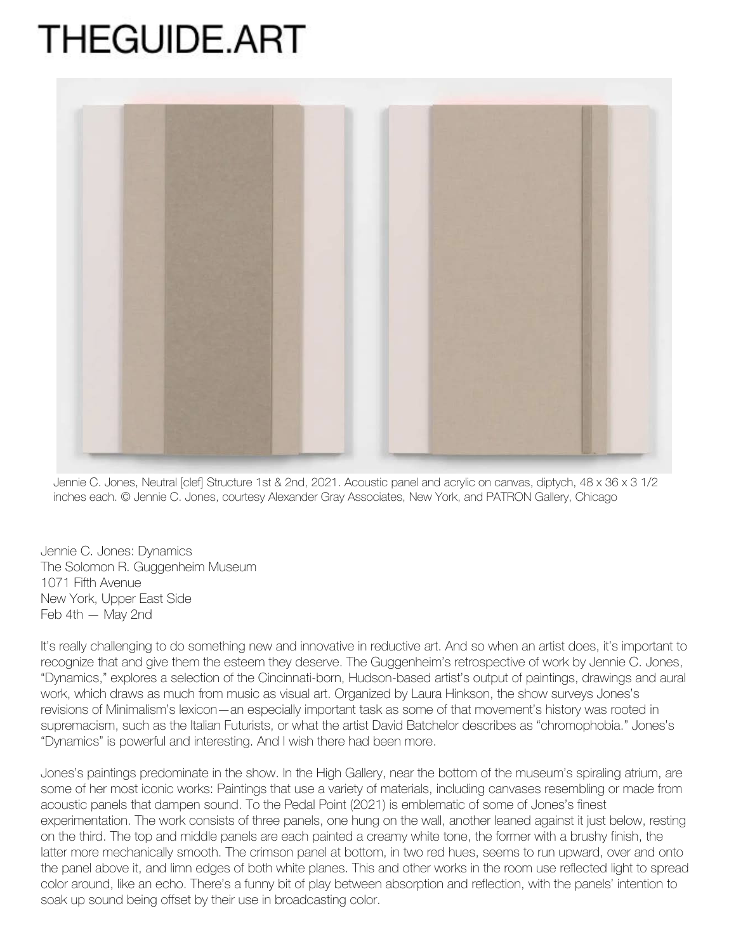## **THEGUIDE.ART**



Jennie C. Jones, Neutral [clef] Structure 1st & 2nd, 2021. Acoustic panel and acrylic on canvas, diptych, 48 x 36 x 3 1/2 inches each. © Jennie C. Jones, courtesy Alexander Gray Associates, New York, and PATRON Gallery, Chicago

Jennie C. Jones: Dynamics The Solomon R. Guggenheim Museum 1071 Fifth Avenue New York, Upper East Side Feb 4th — May 2nd

It's really challenging to do something new and innovative in reductive art. And so when an artist does, it's important to recognize that and give them the esteem they deserve. The Guggenheim's retrospective of work by Jennie C. Jones, "Dynamics," explores a selection of the Cincinnati-born, Hudson-based artist's output of paintings, drawings and aural work, which draws as much from music as visual art. Organized by Laura Hinkson, the show surveys Jones's revisions of Minimalism's lexicon—an especially important task as some of that movement's history was rooted in supremacism, such as the Italian Futurists, or what the artist David Batchelor describes as "chromophobia." Jones's "Dynamics" is powerful and interesting. And I wish there had been more.

Jones's paintings predominate in the show. In the High Gallery, near the bottom of the museum's spiraling atrium, are some of her most iconic works: Paintings that use a variety of materials, including canvases resembling or made from acoustic panels that dampen sound. To the Pedal Point (2021) is emblematic of some of Jones's finest experimentation. The work consists of three panels, one hung on the wall, another leaned against it just below, resting on the third. The top and middle panels are each painted a creamy white tone, the former with a brushy finish, the latter more mechanically smooth. The crimson panel at bottom, in two red hues, seems to run upward, over and onto the panel above it, and limn edges of both white planes. This and other works in the room use reflected light to spread color around, like an echo. There's a funny bit of play between absorption and reflection, with the panels' intention to soak up sound being offset by their use in broadcasting color.